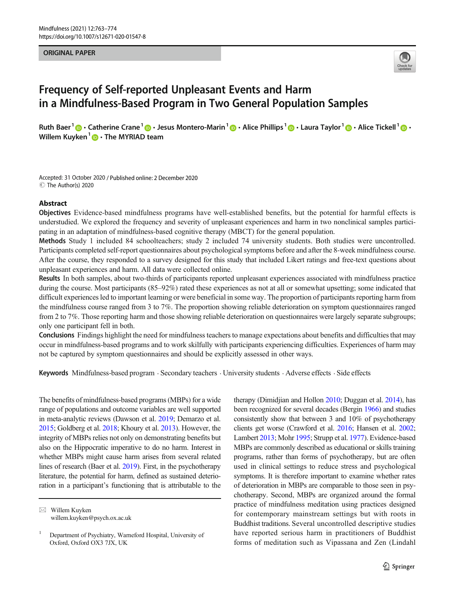#### ORIGINAL PAPER



# Frequency of Self-reported Unpleasant Events and Harm in a Mindfulness-Based Program in Two General Population Samples

Ruth Baer<sup>1</sup>  $\bigcirc$  · Catherine Crane<sup>1</sup>  $\bigcirc$  · Jesus Montero-Marin<sup>1</sup>  $\bigcirc$  · Alice Phillips<sup>1</sup>  $\bigcirc$  · Laura Taylor<sup>1</sup>  $\bigcirc$  · Alice Tickell<sup>1</sup>  $\bigcirc$  · Willem Kuyken<sup>1</sup>  $\bullet$  The MYRIAD team

Accepted: 31 October 2020 / Published online: 2 December 2020 C The Author(s) 2020

#### Abstract

Objectives Evidence-based mindfulness programs have well-established benefits, but the potential for harmful effects is understudied. We explored the frequency and severity of unpleasant experiences and harm in two nonclinical samples participating in an adaptation of mindfulness-based cognitive therapy (MBCT) for the general population.

Methods Study 1 included 84 schoolteachers; study 2 included 74 university students. Both studies were uncontrolled. Participants completed self-report questionnaires about psychological symptoms before and after the 8-week mindfulness course. After the course, they responded to a survey designed for this study that included Likert ratings and free-text questions about unpleasant experiences and harm. All data were collected online.

Results In both samples, about two-thirds of participants reported unpleasant experiences associated with mindfulness practice during the course. Most participants (85–92%) rated these experiences as not at all or somewhat upsetting; some indicated that difficult experiences led to important learning or were beneficial in some way. The proportion of participants reporting harm from the mindfulness course ranged from 3 to 7%. The proportion showing reliable deterioration on symptom questionnaires ranged from 2 to 7%. Those reporting harm and those showing reliable deterioration on questionnaires were largely separate subgroups; only one participant fell in both.

Conclusions Findings highlight the need for mindfulness teachers to manage expectations about benefits and difficulties that may occur in mindfulness-based programs and to work skilfully with participants experiencing difficulties. Experiences of harm may not be captured by symptom questionnaires and should be explicitly assessed in other ways.

Keywords Mindfulness-based program · Secondary teachers · University students · Adverse effects · Side effects

The benefits of mindfulness-based programs (MBPs) for a wide range of populations and outcome variables are well supported in meta-analytic reviews (Dawson et al. [2019;](#page-11-0) Demarzo et al. [2015](#page-11-0); Goldberg et al. [2018](#page-11-0); Khoury et al. [2013\)](#page-11-0). However, the integrity of MBPs relies not only on demonstrating benefits but also on the Hippocratic imperative to do no harm. Interest in whether MBPs might cause harm arises from several related lines of research (Baer et al. [2019](#page-10-0)). First, in the psychotherapy literature, the potential for harm, defined as sustained deterioration in a participant's functioning that is attributable to the

therapy (Dimidjian and Hollon [2010](#page-11-0); Duggan et al. [2014\)](#page-11-0), has been recognized for several decades (Bergin [1966](#page-10-0)) and studies consistently show that between 3 and 10% of psychotherapy clients get worse (Crawford et al. [2016;](#page-11-0) Hansen et al. [2002;](#page-11-0) Lambert [2013](#page-11-0); Mohr [1995](#page-11-0); Strupp et al. [1977\)](#page-11-0). Evidence-based MBPs are commonly described as educational or skills training programs, rather than forms of psychotherapy, but are often used in clinical settings to reduce stress and psychological symptoms. It is therefore important to examine whether rates of deterioration in MBPs are comparable to those seen in psychotherapy. Second, MBPs are organized around the formal practice of mindfulness meditation using practices designed for contemporary mainstream settings but with roots in Buddhist traditions. Several uncontrolled descriptive studies have reported serious harm in practitioners of Buddhist forms of meditation such as Vipassana and Zen (Lindahl

 $\boxtimes$  Willem Kuyken [willem.kuyken@psych.ox.ac.uk](mailto:willem.kuyken@psych.ox.ac.uk)

<sup>1</sup> Department of Psychiatry, Warneford Hospital, University of Oxford, Oxford OX3 7JX, UK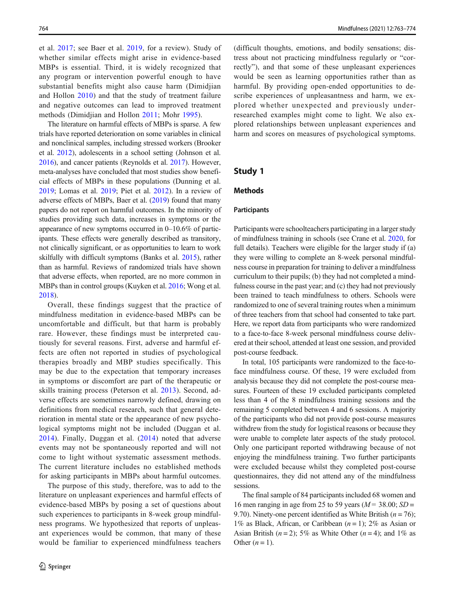et al. [2017;](#page-11-0) see Baer et al. [2019,](#page-10-0) for a review). Study of whether similar effects might arise in evidence-based MBPs is essential. Third, it is widely recognized that any program or intervention powerful enough to have substantial benefits might also cause harm (Dimidjian and Hollon [2010\)](#page-11-0) and that the study of treatment failure and negative outcomes can lead to improved treatment methods (Dimidjian and Hollon [2011;](#page-11-0) Mohr [1995](#page-11-0)).

The literature on harmful effects of MBPs is sparse. A few trials have reported deterioration on some variables in clinical and nonclinical samples, including stressed workers (Brooker et al. [2012](#page-10-0)), adolescents in a school setting (Johnson et al. [2016\)](#page-11-0), and cancer patients (Reynolds et al. [2017](#page-11-0)). However, meta-analyses have concluded that most studies show beneficial effects of MBPs in these populations (Dunning et al. [2019;](#page-11-0) Lomas et al. [2019;](#page-11-0) Piet et al. [2012](#page-11-0)). In a review of adverse effects of MBPs, Baer et al. ([2019](#page-10-0)) found that many papers do not report on harmful outcomes. In the minority of studies providing such data, increases in symptoms or the appearance of new symptoms occurred in 0–10.6% of participants. These effects were generally described as transitory, not clinically significant, or as opportunities to learn to work skilfully with difficult symptoms (Banks et al. [2015\)](#page-10-0), rather than as harmful. Reviews of randomized trials have shown that adverse effects, when reported, are no more common in MBPs than in control groups (Kuyken et al. [2016](#page-11-0); Wong et al. [2018\)](#page-11-0).

Overall, these findings suggest that the practice of mindfulness meditation in evidence-based MBPs can be uncomfortable and difficult, but that harm is probably rare. However, these findings must be interpreted cautiously for several reasons. First, adverse and harmful effects are often not reported in studies of psychological therapies broadly and MBP studies specifically. This may be due to the expectation that temporary increases in symptoms or discomfort are part of the therapeutic or skills training process (Peterson et al. [2013\)](#page-11-0). Second, adverse effects are sometimes narrowly defined, drawing on definitions from medical research, such that general deterioration in mental state or the appearance of new psychological symptoms might not be included (Duggan et al. [2014](#page-11-0)). Finally, Duggan et al. ([2014\)](#page-11-0) noted that adverse events may not be spontaneously reported and will not come to light without systematic assessment methods. The current literature includes no established methods for asking participants in MBPs about harmful outcomes.

The purpose of this study, therefore, was to add to the literature on unpleasant experiences and harmful effects of evidence-based MBPs by posing a set of questions about such experiences to participants in 8-week group mindfulness programs. We hypothesized that reports of unpleasant experiences would be common, that many of these would be familiar to experienced mindfulness teachers

(difficult thoughts, emotions, and bodily sensations; distress about not practicing mindfulness regularly or "correctly"), and that some of these unpleasant experiences would be seen as learning opportunities rather than as harmful. By providing open-ended opportunities to describe experiences of unpleasantness and harm, we explored whether unexpected and previously underresearched examples might come to light. We also explored relationships between unpleasant experiences and harm and scores on measures of psychological symptoms.

# Study 1

## Methods

#### Participants

Participants were schoolteachers participating in a larger study of mindfulness training in schools (see Crane et al. [2020,](#page-10-0) for full details). Teachers were eligible for the larger study if (a) they were willing to complete an 8-week personal mindfulness course in preparation for training to deliver a mindfulness curriculum to their pupils; (b) they had not completed a mindfulness course in the past year; and (c) they had not previously been trained to teach mindfulness to others. Schools were randomized to one of several training routes when a minimum of three teachers from that school had consented to take part. Here, we report data from participants who were randomized to a face-to-face 8-week personal mindfulness course delivered at their school, attended at least one session, and provided post-course feedback.

In total, 105 participants were randomized to the face-toface mindfulness course. Of these, 19 were excluded from analysis because they did not complete the post-course measures. Fourteen of these 19 excluded participants completed less than 4 of the 8 mindfulness training sessions and the remaining 5 completed between 4 and 6 sessions. A majority of the participants who did not provide post-course measures withdrew from the study for logistical reasons or because they were unable to complete later aspects of the study protocol. Only one participant reported withdrawing because of not enjoying the mindfulness training. Two further participants were excluded because whilst they completed post-course questionnaires, they did not attend any of the mindfulness sessions.

The final sample of 84 participants included 68 women and 16 men ranging in age from 25 to 59 years ( $M = 38.00$ ;  $SD =$ 9.70). Ninety-one percent identified as White British ( $n = 76$ ); 1% as Black, African, or Caribbean  $(n = 1)$ ; 2% as Asian or Asian British ( $n = 2$ ); 5% as White Other ( $n = 4$ ); and 1% as Other  $(n = 1)$ .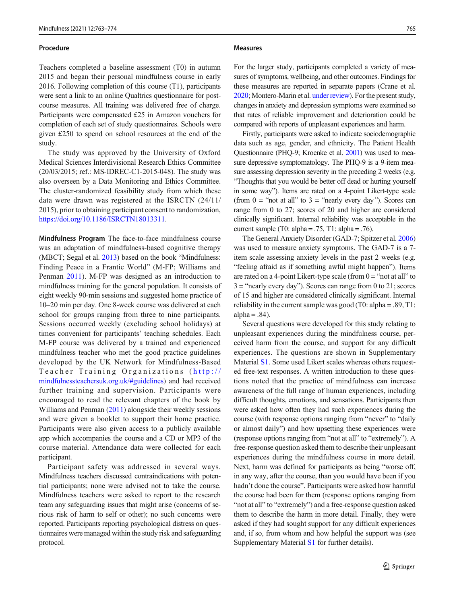#### Procedure

Teachers completed a baseline assessment (T0) in autumn 2015 and began their personal mindfulness course in early 2016. Following completion of this course (T1), participants were sent a link to an online Qualtrics questionnaire for postcourse measures. All training was delivered free of charge. Participants were compensated £25 in Amazon vouchers for completion of each set of study questionnaires. Schools were given £250 to spend on school resources at the end of the study.

The study was approved by the University of Oxford Medical Sciences Interdivisional Research Ethics Committee (20/03/2015; ref.: MS-IDREC-C1-2015-048). The study was also overseen by a Data Monitoring and Ethics Committee. The cluster-randomized feasibility study from which these data were drawn was registered at the ISRCTN (24/11/ 2015), prior to obtaining participant consent to randomization, [https://doi.org/10.1186/ISRCTN18013311.](https://doi.org/10.1186/ISRCTN18013311)

Mindfulness Program The face-to-face mindfulness course was an adaptation of mindfulness-based cognitive therapy (MBCT; Segal et al. [2013](#page-11-0)) based on the book "Mindfulness: Finding Peace in a Frantic World" (M-FP; Williams and Penman [2011](#page-11-0)). M-FP was designed as an introduction to mindfulness training for the general population. It consists of eight weekly 90-min sessions and suggested home practice of 10–20 min per day. One 8-week course was delivered at each school for groups ranging from three to nine participants. Sessions occurred weekly (excluding school holidays) at times convenient for participants' teaching schedules. Each M-FP course was delivered by a trained and experienced mindfulness teacher who met the good practice guidelines developed by the UK Network for Mindfulness-Based Teacher Training Organizations ( [http://](http://mindfulnessteachersuk.org.uk/#guidelines) [mindfulnessteachersuk.org.uk/#guidelines](http://mindfulnessteachersuk.org.uk/#guidelines)) and had received further training and supervision. Participants were encouraged to read the relevant chapters of the book by Williams and Penman [\(2011\)](#page-11-0) alongside their weekly sessions and were given a booklet to support their home practice. Participants were also given access to a publicly available app which accompanies the course and a CD or MP3 of the course material. Attendance data were collected for each participant.

Participant safety was addressed in several ways. Mindfulness teachers discussed contraindications with potential participants; none were advised not to take the course. Mindfulness teachers were asked to report to the research team any safeguarding issues that might arise (concerns of serious risk of harm to self or other); no such concerns were reported. Participants reporting psychological distress on questionnaires were managed within the study risk and safeguarding protocol.

#### Measures

For the larger study, participants completed a variety of measures of symptoms, wellbeing, and other outcomes. Findings for these measures are reported in separate papers (Crane et al. [2020](#page-10-0); Montero-Marin et al. [under review\)](#page-11-0). For the present study, changes in anxiety and depression symptoms were examined so that rates of reliable improvement and deterioration could be compared with reports of unpleasant experiences and harm.

Firstly, participants were asked to indicate sociodemographic data such as age, gender, and ethnicity. The Patient Health Questionnaire (PHQ-9; Kroenke et al. [2001](#page-11-0)) was used to measure depressive symptomatology. The PHQ-9 is a 9-item measure assessing depression severity in the preceding 2 weeks (e.g. "Thoughts that you would be better off dead or hurting yourself in some way"). Items are rated on a 4-point Likert-type scale (from  $0 =$  "not at all" to  $3 =$  "nearly every day"). Scores can range from 0 to 27; scores of 20 and higher are considered clinically significant. Internal reliability was acceptable in the current sample (T0: alpha =  $.75$ , T1: alpha =  $.76$ ).

The General Anxiety Disorder (GAD-7; Spitzer et al. [2006](#page-11-0)) was used to measure anxiety symptoms. The GAD-7 is a 7 item scale assessing anxiety levels in the past 2 weeks (e.g. "feeling afraid as if something awful might happen"). Items are rated on a 4-point Likert-type scale (from  $0 =$  "not at all" to  $3 =$  "nearly every day"). Scores can range from 0 to 21; scores of 15 and higher are considered clinically significant. Internal reliability in the current sample was good (T0: alpha = .89, T1: alpha  $= .84$ ).

Several questions were developed for this study relating to unpleasant experiences during the mindfulness course, perceived harm from the course, and support for any difficult experiences. The questions are shown in Supplementary Material S1. Some used Likert scales whereas others requested free-text responses. A written introduction to these questions noted that the practice of mindfulness can increase awareness of the full range of human experiences, including difficult thoughts, emotions, and sensations. Participants then were asked how often they had such experiences during the course (with response options ranging from "never" to "daily or almost daily") and how upsetting these experiences were (response options ranging from "not at all" to "extremely"). A free-response question asked them to describe their unpleasant experiences during the mindfulness course in more detail. Next, harm was defined for participants as being "worse off, in any way, after the course, than you would have been if you hadn't done the course". Participants were asked how harmful the course had been for them (response options ranging from "not at all" to "extremely") and a free-response question asked them to describe the harm in more detail. Finally, they were asked if they had sought support for any difficult experiences and, if so, from whom and how helpful the support was (see Supplementary Material S1 for further details).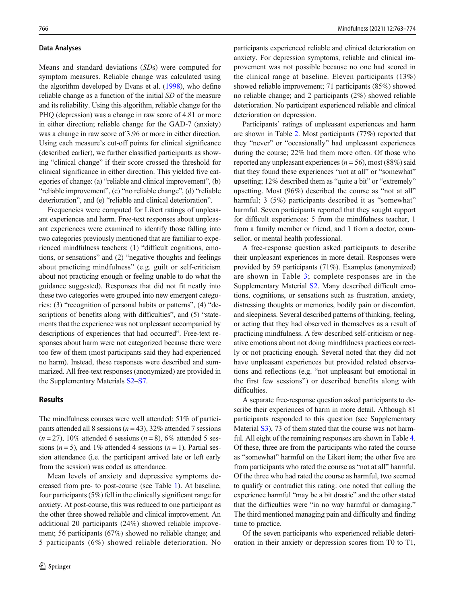#### Data Analyses

Means and standard deviations (SDs) were computed for symptom measures. Reliable change was calculated using the algorithm developed by Evans et al. [\(1998\)](#page-11-0), who define reliable change as a function of the initial SD of the measure and its reliability. Using this algorithm, reliable change for the PHQ (depression) was a change in raw score of 4.81 or more in either direction; reliable change for the GAD-7 (anxiety) was a change in raw score of 3.96 or more in either direction. Using each measure's cut-off points for clinical significance (described earlier), we further classified participants as showing "clinical change" if their score crossed the threshold for clinical significance in either direction. This yielded five categories of change: (a) "reliable and clinical improvement", (b) "reliable improvement", (c) "no reliable change", (d) "reliable deterioration", and (e) "reliable and clinical deterioration".

Frequencies were computed for Likert ratings of unpleasant experiences and harm. Free-text responses about unpleasant experiences were examined to identify those falling into two categories previously mentioned that are familiar to experienced mindfulness teachers: (1) "difficult cognitions, emotions, or sensations" and (2) "negative thoughts and feelings about practicing mindfulness" (e.g. guilt or self-criticism about not practicing enough or feeling unable to do what the guidance suggested). Responses that did not fit neatly into these two categories were grouped into new emergent categories: (3) "recognition of personal habits or patterns", (4) "descriptions of benefits along with difficulties", and (5) "statements that the experience was not unpleasant accompanied by descriptions of experiences that had occurred". Free-text responses about harm were not categorized because there were too few of them (most participants said they had experienced no harm). Instead, these responses were described and summarized. All free-text responses (anonymized) are provided in the Supplementary Materials S2–S7.

## **Results**

The mindfulness courses were well attended: 51% of participants attended all 8 sessions ( $n = 43$ ), 32% attended 7 sessions  $(n = 27)$ , 10% attended 6 sessions  $(n = 8)$ , 6% attended 5 sessions ( $n = 5$ ), and 1% attended 4 sessions ( $n = 1$ ). Partial session attendance (i.e. the participant arrived late or left early from the session) was coded as attendance.

Mean levels of anxiety and depressive symptoms decreased from pre- to post-course (see Table [1\)](#page-4-0). At baseline, four participants (5%) fell in the clinically significant range for anxiety. At post-course, this was reduced to one participant as the other three showed reliable and clinical improvement. An additional 20 participants (24%) showed reliable improvement; 56 participants (67%) showed no reliable change; and 5 participants (6%) showed reliable deterioration. No participants experienced reliable and clinical deterioration on anxiety. For depression symptoms, reliable and clinical improvement was not possible because no one had scored in the clinical range at baseline. Eleven participants (13%) showed reliable improvement; 71 participants (85%) showed no reliable change; and 2 participants (2%) showed reliable deterioration. No participant experienced reliable and clinical deterioration on depression.

Participants' ratings of unpleasant experiences and harm are shown in Table [2](#page-4-0). Most participants (77%) reported that they "never" or "occasionally" had unpleasant experiences during the course; 22% had them more often. Of those who reported any unpleasant experiences ( $n = 56$ ), most (88%) said that they found these experiences "not at all" or "somewhat" upsetting; 12% described them as "quite a bit" or "extremely" upsetting. Most (96%) described the course as "not at all" harmful; 3 (5%) participants described it as "somewhat" harmful. Seven participants reported that they sought support for difficult experiences: 5 from the mindfulness teacher, 1 from a family member or friend, and 1 from a doctor, counsellor, or mental health professional.

A free-response question asked participants to describe their unpleasant experiences in more detail. Responses were provided by 59 participants (71%). Examples (anonymized) are shown in Table [3](#page-5-0); complete responses are in the Supplementary Material S2. Many described difficult emotions, cognitions, or sensations such as frustration, anxiety, distressing thoughts or memories, bodily pain or discomfort, and sleepiness. Several described patterns of thinking, feeling, or acting that they had observed in themselves as a result of practicing mindfulness. A few described self-criticism or negative emotions about not doing mindfulness practices correctly or not practicing enough. Several noted that they did not have unpleasant experiences but provided related observations and reflections (e.g. "not unpleasant but emotional in the first few sessions") or described benefits along with difficulties.

A separate free-response question asked participants to describe their experiences of harm in more detail. Although 81 participants responded to this question (see Supplementary Material S3), 73 of them stated that the course was not harmful. All eight of the remaining responses are shown in Table [4.](#page-6-0) Of these, three are from the participants who rated the course as "somewhat" harmful on the Likert item; the other five are from participants who rated the course as "not at all" harmful. Of the three who had rated the course as harmful, two seemed to qualify or contradict this rating: one noted that calling the experience harmful "may be a bit drastic" and the other stated that the difficulties were "in no way harmful or damaging." The third mentioned managing pain and difficulty and finding time to practice.

Of the seven participants who experienced reliable deterioration in their anxiety or depression scores from T0 to T1,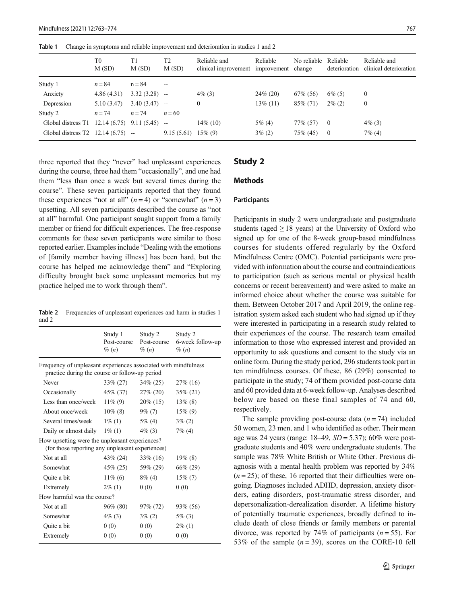<span id="page-4-0"></span>Table 1 Change in symptoms and reliable improvement and deterioration in studies 1 and 2

|                                                  | T <sub>0</sub><br>M(SD) | T <sub>1</sub><br>M(SD) | T <sub>2</sub><br>M(SD)  | Reliable and<br>clinical improvement improvement change | Reliable    | No reliable Reliable | deterioration  | Reliable and<br>clinical deterioration |
|--------------------------------------------------|-------------------------|-------------------------|--------------------------|---------------------------------------------------------|-------------|----------------------|----------------|----------------------------------------|
| Study 1                                          | $n = 84$                | $n = 84$                | $-$                      |                                                         |             |                      |                |                                        |
| Anxiety                                          | 4.86(4.31)              | 3.32(3.28)              | $\overline{\phantom{m}}$ | $4\%$ (3)                                               | $24\%$ (20) | $67\%$ (56)          | $6\%$ (5)      | $\bf{0}$                               |
| Depression                                       | 5.10(3.47)              | 3.40(3.47)              | $\overline{\phantom{m}}$ | $\Omega$                                                | $13\%$ (11) | $85\%$ (71)          | $2\%$ (2)      | $\mathbf{0}$                           |
| Study 2                                          | $n = 74$                | $n = 74$                | $n = 60$                 |                                                         |             |                      |                |                                        |
| Global distress T1 $12.14(6.75)$ 9.11 (5.45) --  |                         |                         |                          | $14\%$ (10)                                             | $5\%$ (4)   | $77\%$ (57)          | $\theta$       | $4\%$ (3)                              |
| Global distress $T2 \quad 12.14 \quad (6.75)$ -- |                         |                         | 9.15(5.61)               | $15\%$ (9)                                              | $3\% (2)$   | $75\%$ (45)          | $\overline{0}$ | $7\%$ (4)                              |

three reported that they "never" had unpleasant experiences during the course, three had them "occasionally", and one had them "less than once a week but several times during the course". These seven participants reported that they found these experiences "not at all"  $(n=4)$  or "somewhat"  $(n=3)$ upsetting. All seven participants described the course as "not at all" harmful. One participant sought support from a family member or friend for difficult experiences. The free-response comments for these seven participants were similar to those reported earlier. Examples include "Dealing with the emotions of [family member having illness] has been hard, but the course has helped me acknowledge them" and "Exploring difficulty brought back some unpleasant memories but my practice helped me to work through them".

Table 2 Frequencies of unpleasant experiences and harm in studies 1 and 2

|                                                                                                                   | Study 1<br>Post-course<br>$\%$ (n) | Study 2<br>Post-course<br>$\%$ (n) | Study 2<br>6-week follow-up<br>$\%$ $(n)$ |
|-------------------------------------------------------------------------------------------------------------------|------------------------------------|------------------------------------|-------------------------------------------|
| Frequency of unpleasant experiences associated with mindfulness<br>practice during the course or follow-up period |                                    |                                    |                                           |
| Never                                                                                                             | $33\% (27)$                        | $34\% (25)$                        | $27\%$ (16)                               |
| Occasionally                                                                                                      | 45\% (37)                          | $27\%$ (20)                        | $35\% (21)$                               |
| Less than once/week $11\%$ (9)                                                                                    |                                    | $20\%$ (15)                        | $13\%$ (8)                                |
| About once/week                                                                                                   | $10\%$ (8)                         | $9\%$ (7)                          | $15\%$ (9)                                |
| Several times/week                                                                                                | $1\%$ (1)                          | $5\%$ (4)                          | $3\% (2)$                                 |
| Daily or almost daily $1\%$ (1)                                                                                   |                                    | $4\%$ (3)                          | $7\%$ (4)                                 |
| How upsetting were the unpleasant experiences?<br>(for those reporting any unpleasant experiences)                |                                    |                                    |                                           |
| Not at all                                                                                                        | $43\%$ (24)                        | $33\%$ (16)                        | $19\%$ (8)                                |
| Somewhat                                                                                                          | 45\% (25)                          | 59\% (29)                          | $66\% (29)$                               |
| Quite a bit                                                                                                       | $11\%$ (6)                         | $8\%$ (4)                          | $15\%$ (7)                                |
| Extremely                                                                                                         | $2\%$ (1)                          | 0(0)                               | 0(0)                                      |
| How harmful was the course?                                                                                       |                                    |                                    |                                           |
| Not at all                                                                                                        | 96\% (80)                          | $97\% (72)$                        | $93\% (56)$                               |
| Somewhat                                                                                                          | $4\%$ (3)                          | $3\% (2)$                          | $5\%$ (3)                                 |
| Ouite a bit                                                                                                       | 0(0)                               | 0(0)                               | $2\%$ (1)                                 |
| Extremely                                                                                                         | 0(0)                               | 0(0)                               | 0(0)                                      |

# Study 2

## Methods

## Participants

Participants in study 2 were undergraduate and postgraduate students (aged  $\geq$  18 years) at the University of Oxford who signed up for one of the 8-week group-based mindfulness courses for students offered regularly by the Oxford Mindfulness Centre (OMC). Potential participants were provided with information about the course and contraindications to participation (such as serious mental or physical health concerns or recent bereavement) and were asked to make an informed choice about whether the course was suitable for them. Between October 2017 and April 2019, the online registration system asked each student who had signed up if they were interested in participating in a research study related to their experiences of the course. The research team emailed information to those who expressed interest and provided an opportunity to ask questions and consent to the study via an online form. During the study period, 296 students took part in ten mindfulness courses. Of these, 86 (29%) consented to participate in the study; 74 of them provided post-course data and 60 provided data at 6-week follow-up. Analyses described below are based on these final samples of 74 and 60, respectively.

The sample providing post-course data  $(n = 74)$  included 50 women, 23 men, and 1 who identified as other. Their mean age was 24 years (range: 18–49, SD = 5.37); 60% were postgraduate students and 40% were undergraduate students. The sample was 78% White British or White Other. Previous diagnosis with a mental health problem was reported by 34%  $(n = 25)$ ; of these, 16 reported that their difficulties were ongoing. Diagnoses included ADHD, depression, anxiety disorders, eating disorders, post-traumatic stress disorder, and depersonalization-derealization disorder. A lifetime history of potentially traumatic experiences, broadly defined to include death of close friends or family members or parental divorce, was reported by 74% of participants  $(n = 55)$ . For 53% of the sample  $(n=39)$ , scores on the CORE-10 fell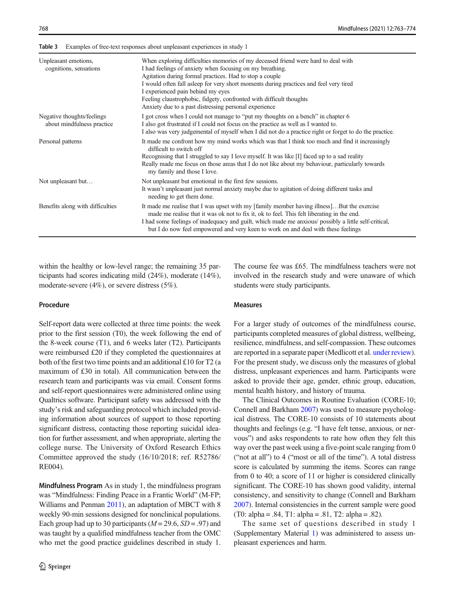| Unpleasant emotions,                                     | When exploring difficulties memories of my deceased friend were hard to deal with                                                                                                         |  |  |  |
|----------------------------------------------------------|-------------------------------------------------------------------------------------------------------------------------------------------------------------------------------------------|--|--|--|
| cognitions, sensations                                   | I had feelings of anxiety when focusing on my breathing.                                                                                                                                  |  |  |  |
|                                                          | Agitation during formal practices. Had to stop a couple                                                                                                                                   |  |  |  |
|                                                          | I would often fall as leep for very short moments during practices and feel very tired<br>I experienced pain behind my eyes                                                               |  |  |  |
|                                                          | Feeling claustrophobic, fidgety, confronted with difficult thoughts<br>Anxiety due to a past distressing personal experience                                                              |  |  |  |
|                                                          |                                                                                                                                                                                           |  |  |  |
| Negative thoughts/feelings<br>about mindfulness practice | I got cross when I could not manage to "put my thoughts on a bench" in chapter 6<br>I also got frustrated if I could not focus on the practice as well as I wanted to.                    |  |  |  |
|                                                          | I also was very judgemental of myself when I did not do a practice right or forget to do the practice.                                                                                    |  |  |  |
| Personal patterns                                        | It made me confront how my mind works which was that I think too much and find it increasingly<br>difficult to switch off                                                                 |  |  |  |
|                                                          | Recognising that I struggled to say I love myself. It was like [I] faced up to a sad reality                                                                                              |  |  |  |
|                                                          | Really made me focus on those areas that I do not like about my behaviour, particularly towards<br>my family and those I love.                                                            |  |  |  |
| Not unpleasant but                                       | Not unpleasant but emotional in the first few sessions.                                                                                                                                   |  |  |  |
|                                                          | It wasn't unpleasant just normal anxiety maybe due to agitation of doing different tasks and<br>needing to get them done.                                                                 |  |  |  |
| Benefits along with difficulties                         | It made me realise that I was upset with my [family member having illness]But the exercise<br>made me realise that it was ok not to fix it, ok to feel. This felt liberating in the end.  |  |  |  |
|                                                          | I had some feelings of inadequacy and guilt, which made me anxious/ possibly a little self-critical,<br>but I do now feel empowered and very keen to work on and deal with these feelings |  |  |  |

<span id="page-5-0"></span> $Table 3$  Examples of free-text responses about unpleasant experiences in study 1

within the healthy or low-level range; the remaining 35 participants had scores indicating mild (24%), moderate (14%), moderate-severe (4%), or severe distress (5%).

## Procedure

Self-report data were collected at three time points: the week prior to the first session (T0), the week following the end of the 8-week course (T1), and 6 weeks later (T2). Participants were reimbursed £20 if they completed the questionnaires at both of the first two time points and an additional £10 for T2 (a maximum of £30 in total). All communication between the research team and participants was via email. Consent forms and self-report questionnaires were administered online using Qualtrics software. Participant safety was addressed with the study's risk and safeguarding protocol which included providing information about sources of support to those reporting significant distress, contacting those reporting suicidal ideation for further assessment, and when appropriate, alerting the college nurse. The University of Oxford Research Ethics Committee approved the study (16/10/2018; ref. R52786/ RE004).

Mindfulness Program As in study 1, the mindfulness program was "Mindfulness: Finding Peace in a Frantic World" (M-FP; Williams and Penman [2011\)](#page-11-0), an adaptation of MBCT with 8 weekly 90-min sessions designed for nonclinical populations. Each group had up to 30 participants ( $M = 29.6$ ,  $SD = .97$ ) and was taught by a qualified mindfulness teacher from the OMC who met the good practice guidelines described in study 1.

The course fee was £65. The mindfulness teachers were not involved in the research study and were unaware of which students were study participants.

#### Measures

For a larger study of outcomes of the mindfulness course, participants completed measures of global distress, wellbeing, resilience, mindfulness, and self-compassion. These outcomes are reported in a separate paper (Medlicott et al. [under review\)](#page-11-0). For the present study, we discuss only the measures of global distress, unpleasant experiences and harm. Participants were asked to provide their age, gender, ethnic group, education, mental health history, and history of trauma.

The Clinical Outcomes in Routine Evaluation (CORE-10; Connell and Barkham [2007](#page-10-0)) was used to measure psychological distress. The CORE-10 consists of 10 statements about thoughts and feelings (e.g. "I have felt tense, anxious, or nervous") and asks respondents to rate how often they felt this way over the past week using a five-point scale ranging from 0 ("not at all") to 4 ("most or all of the time"). A total distress score is calculated by summing the items. Scores can range from 0 to 40; a score of 11 or higher is considered clinically significant. The CORE-10 has shown good validity, internal consistency, and sensitivity to change (Connell and Barkham [2007\)](#page-10-0). Internal consistencies in the current sample were good (T0: alpha = .84, T1: alpha = .81, T2: alpha = .82).

The same set of questions described in study 1 (Supplementary Material 1) was administered to assess unpleasant experiences and harm.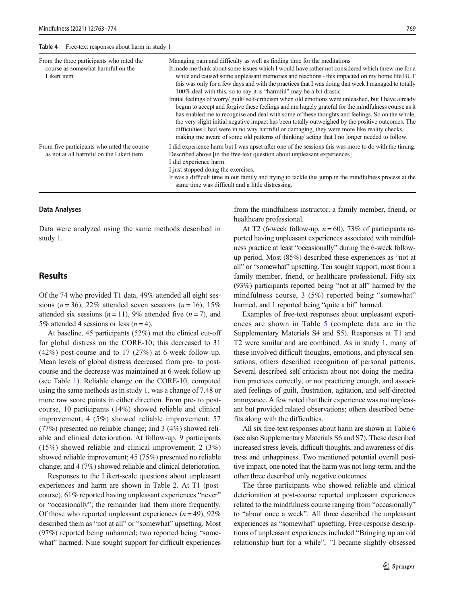#### <span id="page-6-0"></span>Table 4 Free-text responses about harm in study 1

| From the three participants who rated the<br>course as somewhat harmful on the<br>Likert item | Managing pain and difficulty as well as finding time for the meditations<br>It made me think about some issues which I would have rather not considered which threw me for a<br>while and caused some unpleasant memories and reactions - this impacted on my home life BUT<br>this was only for a few days and with the practices that I was doing that week I managed to totally<br>100% deal with this, so to say it is "harmful" may be a bit drastic<br>Initial feelings of worry/ guilt/ self-criticism when old emotions were unleashed, but I have already<br>begun to accept and forgive these feelings and am hugely grateful for the mindfulness course as it<br>has enabled me to recognise and deal with some of these thoughts and feelings. So on the whole,<br>the very slight initial negative impact has been totally outweighed by the positive outcomes. The<br>difficulties I had were in no way harmful or damaging, they were more like reality checks,<br>making me aware of some old patterns of thinking/ acting that I no longer needed to follow. |
|-----------------------------------------------------------------------------------------------|-------------------------------------------------------------------------------------------------------------------------------------------------------------------------------------------------------------------------------------------------------------------------------------------------------------------------------------------------------------------------------------------------------------------------------------------------------------------------------------------------------------------------------------------------------------------------------------------------------------------------------------------------------------------------------------------------------------------------------------------------------------------------------------------------------------------------------------------------------------------------------------------------------------------------------------------------------------------------------------------------------------------------------------------------------------------------------|
| From five participants who rated the course<br>as not at all harmful on the Likert item       | I did experience harm but I was upset after one of the sessions this was more to do with the timing.<br>Described above [in the free-text question about unpleasant experiences]<br>I did experience harm.<br>I just stopped doing the exercises.<br>It was a difficult time in our family and trying to tackle this jump in the mindfulness process at the<br>same time was difficult and a little distressing.                                                                                                                                                                                                                                                                                                                                                                                                                                                                                                                                                                                                                                                              |

#### Data Analyses

Data were analyzed using the same methods described in study 1.

## Results

Of the 74 who provided T1 data, 49% attended all eight sessions ( $n = 36$ ), 22% attended seven sessions ( $n = 16$ ), 15% attended six sessions  $(n = 11)$ , 9% attended five  $(n = 7)$ , and 5% attended 4 sessions or less  $(n = 4)$ .

At baseline, 45 participants (52%) met the clinical cut-off for global distress on the CORE-10; this decreased to 31 (42%) post-course and to 17 (27%) at 6-week follow-up. Mean levels of global distress decreased from pre- to postcourse and the decrease was maintained at 6-week follow-up (see Table [1\)](#page-4-0). Reliable change on the CORE-10, computed using the same methods as in study 1, was a change of 7.48 or more raw score points in either direction. From pre- to postcourse, 10 participants (14%) showed reliable and clinical improvement; 4 (5%) showed reliable improvement; 57 (77%) presented no reliable change; and 3 (4%) showed reliable and clinical deterioration. At follow-up, 9 participants (15%) showed reliable and clinical improvement; 2 (3%) showed reliable improvement; 45 (75%) presented no reliable change; and 4 (7%) showed reliable and clinical deterioration.

Responses to the Likert-scale questions about unpleasant experiences and harm are shown in Table [2](#page-4-0). At T1 (postcourse), 61% reported having unpleasant experiences "never" or "occasionally"; the remainder had them more frequently. Of those who reported unpleasant experiences  $(n = 49)$ , 92% described them as "not at all" or "somewhat" upsetting. Most (97%) reported being unharmed; two reported being "somewhat" harmed. Nine sought support for difficult experiences from the mindfulness instructor, a family member, friend, or healthcare professional.

At T2 (6-week follow-up,  $n = 60$ ), 73% of participants reported having unpleasant experiences associated with mindfulness practice at least "occasionally" during the 6-week followup period. Most (85%) described these experiences as "not at all" or "somewhat" upsetting. Ten sought support, most from a family member, friend, or healthcare professional. Fifty-six (93%) participants reported being "not at all" harmed by the mindfulness course, 3 (5%) reported being "somewhat" harmed, and 1 reported being "quite a bit" harmed.

Examples of free-text responses about unpleasant experiences are shown in Table [5](#page-7-0) (complete data are in the Supplementary Materials S4 and S5). Responses at T1 and T2 were similar and are combined. As in study 1, many of these involved difficult thoughts, emotions, and physical sensations; others described recognition of personal patterns. Several described self-criticism about not doing the meditation practices correctly, or not practicing enough, and associated feelings of guilt, frustration, agitation, and self-directed annoyance. A few noted that their experience was not unpleasant but provided related observations; others described benefits along with the difficulties.

All six free-text responses about harm are shown in Table [6](#page-7-0) (see also Supplementary Materials S6 and S7). These described increased stress levels, difficult thoughts, and awareness of distress and unhappiness. Two mentioned potential overall positive impact, one noted that the harm was not long-term, and the other three described only negative outcomes.

The three participants who showed reliable and clinical deterioration at post-course reported unpleasant experiences related to the mindfulness course ranging from "occasionally" to "about once a week". All three described the unpleasant experiences as "somewhat" upsetting. Free-response descriptions of unpleasant experiences included "Bringing up an old relationship hurt for a while", "I became slightly obsessed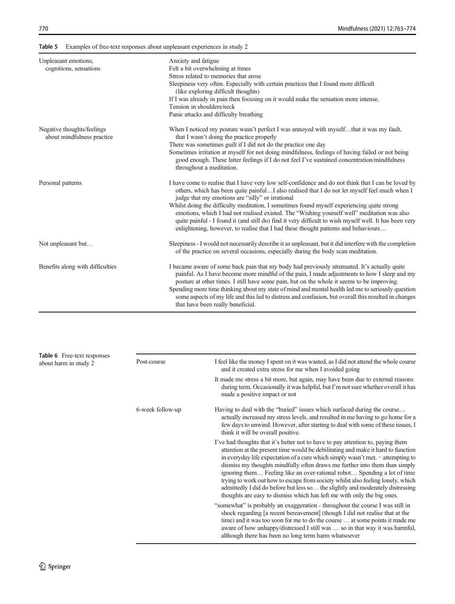| Unpleasant emotions,<br>cognitions, sensations           | Anxiety and fatigue<br>Felt a bit overwhelming at times<br>Stress related to memories that arose<br>Sleepiness very often. Especially with certain practices that I found more difficult<br>(like exploring difficult thoughts)<br>If I was already in pain then focusing on it would make the sensation more intense.<br>Tension in shoulders/neck<br>Panic attacks and difficulty breathing                                                                                                                                                                                                                                                         |
|----------------------------------------------------------|-------------------------------------------------------------------------------------------------------------------------------------------------------------------------------------------------------------------------------------------------------------------------------------------------------------------------------------------------------------------------------------------------------------------------------------------------------------------------------------------------------------------------------------------------------------------------------------------------------------------------------------------------------|
| Negative thoughts/feelings<br>about mindfulness practice | When I noticed my posture wasn't perfect I was annoyed with myselfthat it was my fault,<br>that I wasn't doing the practice properly<br>There was sometimes guilt if I did not do the practice one day<br>Sometimes irritation at myself for not doing mindfulness, feelings of having failed or not being<br>good enough. These latter feelings if I do not feel I've sustained concentration/mindfulness<br>throughout a meditation.                                                                                                                                                                                                                |
| Personal patterns                                        | I have come to realise that I have very low self-confidence and do not think that I can be loved by<br>others, which has been quite painfulI also realised that I do not let myself feel much when I<br>judge that my emotions are "silly" or irrational<br>Whilst doing the difficulty meditation, I sometimes found myself experiencing quite strong<br>emotions, which I had not realised existed. The "Wishing yourself well" meditation was also<br>quite painful - I found it (and still do) find it very difficult to wish myself well. It has been very<br>enlightening, however, to realise that I had these thought patterns and behaviours |
| Not unpleasant but                                       | Sleepiness - I would not necessarily describe it as unpleasant, but it did interfere with the completion<br>of the practice on several occasions, especially during the body scan meditation.                                                                                                                                                                                                                                                                                                                                                                                                                                                         |
| Benefits along with difficulties                         | I became aware of some back pain that my body had previously attenuated. It's actually quite<br>painful. As I have become more mindful of the pain, I made adjustments to how I sleep and my<br>posture at other times. I still have some pain, but on the whole it seems to be improving.<br>Spending more time thinking about my state of mind and mental health led me to seriously question<br>some aspects of my life and this led to distress and confusion, but overall this resulted in changes<br>that have been really beneficial.                                                                                                          |

<span id="page-7-0"></span>

|  |  |  |  |  | <b>Table 5</b> Examples of free-text responses about unpleasant experiences in study 2 |
|--|--|--|--|--|----------------------------------------------------------------------------------------|
|--|--|--|--|--|----------------------------------------------------------------------------------------|

| Table 6 Free-text responses<br>about harm in study 2 | Post-course      | I feel like the money I spent on it was wasted, as I did not attend the whole course<br>and it created extra stress for me when I avoided going<br>It made me stress a bit more, but again, may have been due to external reasons<br>during term. Occasionally it was helpful, but I'm not sure whether overall it has                                                                                                                                                                                                                                                                                                                                          |
|------------------------------------------------------|------------------|-----------------------------------------------------------------------------------------------------------------------------------------------------------------------------------------------------------------------------------------------------------------------------------------------------------------------------------------------------------------------------------------------------------------------------------------------------------------------------------------------------------------------------------------------------------------------------------------------------------------------------------------------------------------|
|                                                      |                  | made a positive impact or not                                                                                                                                                                                                                                                                                                                                                                                                                                                                                                                                                                                                                                   |
|                                                      | 6-week follow-up | Having to deal with the "buried" issues which surfaced during the course<br>actually increased my stress levels, and resulted in me having to go home for a<br>few days to unwind. However, after starting to deal with some of these issues, I<br>think it will be overall positive.                                                                                                                                                                                                                                                                                                                                                                           |
|                                                      |                  | I've had thoughts that it's better not to have to pay attention to, paying them<br>attention at the present time would be debilitating and make it hard to function<br>in everyday life expectation of a cure which simply wasn't met, – attempting to<br>dismiss my thoughts mindfully often draws me further into them than simply<br>ignoring them Feeling like an over-rational robot Spending a lot of time<br>trying to work out how to escape from society whilst also feeling lonely, which<br>admittedly I did do before but less so the slightly and moderately distressing<br>thoughts are easy to dismiss which has left me with only the big ones. |
|                                                      |                  | "somewhat" is probably an exaggeration - throughout the course I was still in<br>shock regarding [a recent bereavement] (though I did not realise that at the<br>time) and it was too soon for me to do the course  at some points it made me<br>aware of how unhappy/distressed I still was  so in that way it was harmful,<br>although there has been no long term harm whatsoever                                                                                                                                                                                                                                                                            |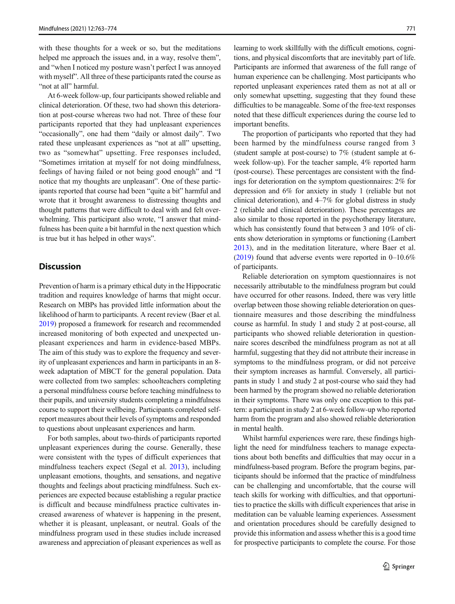with these thoughts for a week or so, but the meditations helped me approach the issues and, in a way, resolve them", and "when I noticed my posture wasn't perfect I was annoyed with myself". All three of these participants rated the course as "not at all" harmful.

At 6-week follow-up, four participants showed reliable and clinical deterioration. Of these, two had shown this deterioration at post-course whereas two had not. Three of these four participants reported that they had unpleasant experiences "occasionally", one had them "daily or almost daily". Two rated these unpleasant experiences as "not at all" upsetting, two as "somewhat" upsetting. Free responses included, "Sometimes irritation at myself for not doing mindfulness, feelings of having failed or not being good enough" and "I notice that my thoughts are unpleasant". One of these participants reported that course had been "quite a bit" harmful and wrote that it brought awareness to distressing thoughts and thought patterns that were difficult to deal with and felt overwhelming. This participant also wrote, "I answer that mindfulness has been quite a bit harmful in the next question which is true but it has helped in other ways".

# **Discussion**

Prevention of harm is a primary ethical duty in the Hippocratic tradition and requires knowledge of harms that might occur. Research on MBPs has provided little information about the likelihood of harm to participants. A recent review (Baer et al. [2019\)](#page-10-0) proposed a framework for research and recommended increased monitoring of both expected and unexpected unpleasant experiences and harm in evidence-based MBPs. The aim of this study was to explore the frequency and severity of unpleasant experiences and harm in participants in an 8 week adaptation of MBCT for the general population. Data were collected from two samples: schoolteachers completing a personal mindfulness course before teaching mindfulness to their pupils, and university students completing a mindfulness course to support their wellbeing. Participants completed selfreport measures about their levels of symptoms and responded to questions about unpleasant experiences and harm.

For both samples, about two-thirds of participants reported unpleasant experiences during the course. Generally, these were consistent with the types of difficult experiences that mindfulness teachers expect (Segal et al. [2013](#page-11-0)), including unpleasant emotions, thoughts, and sensations, and negative thoughts and feelings about practicing mindfulness. Such experiences are expected because establishing a regular practice is difficult and because mindfulness practice cultivates increased awareness of whatever is happening in the present, whether it is pleasant, unpleasant, or neutral. Goals of the mindfulness program used in these studies include increased awareness and appreciation of pleasant experiences as well as

learning to work skillfully with the difficult emotions, cognitions, and physical discomforts that are inevitably part of life. Participants are informed that awareness of the full range of human experience can be challenging. Most participants who reported unpleasant experiences rated them as not at all or only somewhat upsetting, suggesting that they found these difficulties to be manageable. Some of the free-text responses noted that these difficult experiences during the course led to important benefits.

The proportion of participants who reported that they had been harmed by the mindfulness course ranged from 3 (student sample at post-course) to 7% (student sample at 6 week follow-up). For the teacher sample, 4% reported harm (post-course). These percentages are consistent with the findings for deterioration on the symptom questionnaires: 2% for depression and 6% for anxiety in study 1 (reliable but not clinical deterioration), and 4–7% for global distress in study 2 (reliable and clinical deterioration). These percentages are also similar to those reported in the psychotherapy literature, which has consistently found that between 3 and 10% of clients show deterioration in symptoms or functioning (Lambert [2013](#page-11-0)), and in the meditation literature, where Baer et al. [\(2019\)](#page-10-0) found that adverse events were reported in 0–10.6% of participants.

Reliable deterioration on symptom questionnaires is not necessarily attributable to the mindfulness program but could have occurred for other reasons. Indeed, there was very little overlap between those showing reliable deterioration on questionnaire measures and those describing the mindfulness course as harmful. In study 1 and study 2 at post-course, all participants who showed reliable deterioration in questionnaire scores described the mindfulness program as not at all harmful, suggesting that they did not attribute their increase in symptoms to the mindfulness program, or did not perceive their symptom increases as harmful. Conversely, all participants in study 1 and study 2 at post-course who said they had been harmed by the program showed no reliable deterioration in their symptoms. There was only one exception to this pattern: a participant in study 2 at 6-week follow-up who reported harm from the program and also showed reliable deterioration in mental health.

Whilst harmful experiences were rare, these findings highlight the need for mindfulness teachers to manage expectations about both benefits and difficulties that may occur in a mindfulness-based program. Before the program begins, participants should be informed that the practice of mindfulness can be challenging and uncomfortable, that the course will teach skills for working with difficulties, and that opportunities to practice the skills with difficult experiences that arise in meditation can be valuable learning experiences. Assessment and orientation procedures should be carefully designed to provide this information and assess whether this is a good time for prospective participants to complete the course. For those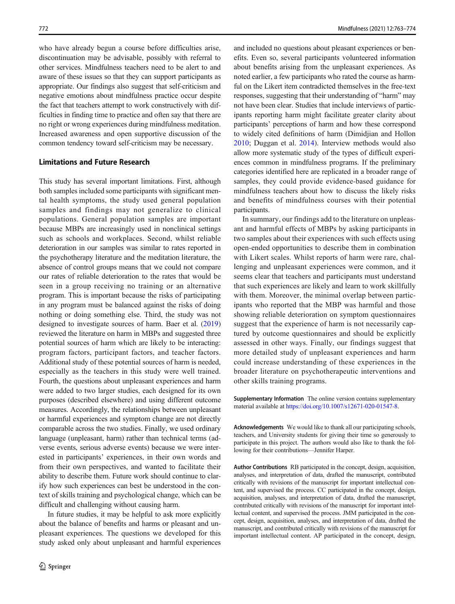who have already begun a course before difficulties arise, discontinuation may be advisable, possibly with referral to other services. Mindfulness teachers need to be alert to and aware of these issues so that they can support participants as appropriate. Our findings also suggest that self-criticism and negative emotions about mindfulness practice occur despite the fact that teachers attempt to work constructively with difficulties in finding time to practice and often say that there are no right or wrong experiences during mindfulness meditation. Increased awareness and open supportive discussion of the common tendency toward self-criticism may be necessary.

## Limitations and Future Research

This study has several important limitations. First, although both samples included some participants with significant mental health symptoms, the study used general population samples and findings may not generalize to clinical populations. General population samples are important because MBPs are increasingly used in nonclinical settings such as schools and workplaces. Second, whilst reliable deterioration in our samples was similar to rates reported in the psychotherapy literature and the meditation literature, the absence of control groups means that we could not compare our rates of reliable deterioration to the rates that would be seen in a group receiving no training or an alternative program. This is important because the risks of participating in any program must be balanced against the risks of doing nothing or doing something else. Third, the study was not designed to investigate sources of harm. Baer et al. [\(2019\)](#page-10-0) reviewed the literature on harm in MBPs and suggested three potential sources of harm which are likely to be interacting: program factors, participant factors, and teacher factors. Additional study of these potential sources of harm is needed, especially as the teachers in this study were well trained. Fourth, the questions about unpleasant experiences and harm were added to two larger studies, each designed for its own purposes (described elsewhere) and using different outcome measures. Accordingly, the relationships between unpleasant or harmful experiences and symptom change are not directly comparable across the two studies. Finally, we used ordinary language (unpleasant, harm) rather than technical terms (adverse events, serious adverse events) because we were interested in participants' experiences, in their own words and from their own perspectives, and wanted to facilitate their ability to describe them. Future work should continue to clarify how such experiences can best be understood in the context of skills training and psychological change, which can be difficult and challenging without causing harm.

In future studies, it may be helpful to ask more explicitly about the balance of benefits and harms or pleasant and unpleasant experiences. The questions we developed for this study asked only about unpleasant and harmful experiences

and included no questions about pleasant experiences or benefits. Even so, several participants volunteered information about benefits arising from the unpleasant experiences. As noted earlier, a few participants who rated the course as harmful on the Likert item contradicted themselves in the free-text responses, suggesting that their understanding of "harm" may not have been clear. Studies that include interviews of participants reporting harm might facilitate greater clarity about participants' perceptions of harm and how these correspond to widely cited definitions of harm (Dimidjian and Hollon [2010](#page-11-0); Duggan et al. [2014\)](#page-11-0). Interview methods would also allow more systematic study of the types of difficult experiences common in mindfulness programs. If the preliminary categories identified here are replicated in a broader range of samples, they could provide evidence-based guidance for mindfulness teachers about how to discuss the likely risks and benefits of mindfulness courses with their potential participants.

In summary, our findings add to the literature on unpleasant and harmful effects of MBPs by asking participants in two samples about their experiences with such effects using open-ended opportunities to describe them in combination with Likert scales. Whilst reports of harm were rare, challenging and unpleasant experiences were common, and it seems clear that teachers and participants must understand that such experiences are likely and learn to work skillfully with them. Moreover, the minimal overlap between participants who reported that the MBP was harmful and those showing reliable deterioration on symptom questionnaires suggest that the experience of harm is not necessarily captured by outcome questionnaires and should be explicitly assessed in other ways. Finally, our findings suggest that more detailed study of unpleasant experiences and harm could increase understanding of these experiences in the broader literature on psychotherapeutic interventions and other skills training programs.

Supplementary Information The online version contains supplementary material available at [https://doi.org/10.1007/s12671-020-01547-8.](https://doi.org/10.1007/s12671-020-01547-8)

Acknowledgements We would like to thank all our participating schools, teachers, and University students for giving their time so generously to participate in this project. The authors would also like to thank the following for their contributions—Jennifer Harper.

Author Contributions RB participated in the concept, design, acquisition, analyses, and interpretation of data, drafted the manuscript, contributed critically with revisions of the manuscript for important intellectual content, and supervised the process. CC participated in the concept, design, acquisition, analyses, and interpretation of data, drafted the manuscript, contributed critically with revisions of the manuscript for important intellectual content, and supervised the process. JMM participated in the concept, design, acquisition, analyses, and interpretation of data, drafted the manuscript, and contributed critically with revisions of the manuscript for important intellectual content. AP participated in the concept, design,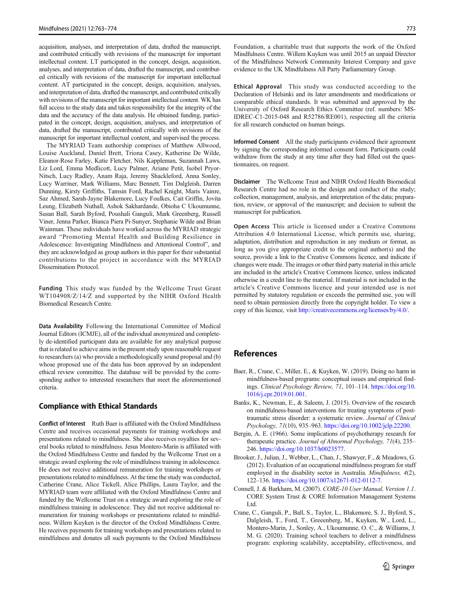<span id="page-10-0"></span>acquisition, analyses, and interpretation of data, drafted the manuscript, and contributed critically with revisions of the manuscript for important intellectual content. LT participated in the concept, design, acquisition, analyses, and interpretation of data, drafted the manuscript, and contributed critically with revisions of the manuscript for important intellectual content. AT participated in the concept, design, acquisition, analyses, and interpretation of data, drafted the manuscript, and contributed critically with revisions of the manuscript for important intellectual content. WK has full access to the study data and takes responsibility for the integrity of the data and the accuracy of the data analysis. He obtained funding, participated in the concept, design, acquisition, analyses, and interpretation of data, drafted the manuscript, contributed critically with revisions of the manuscript for important intellectual content, and supervised the process.

The MYRIAD Team authorship comprises of Matthew Allwood, Louise Auckland, Daniel Brett, Triona Casey, Katherine De Wilde, Eleanor-Rose Farley, Katie Fletcher, Nils Kappleman, Suzannah Laws, Liz Lord, Emma Medlicott, Lucy Palmer, Ariane Petit, Isobel Pryor-Nitsch, Lucy Radley, Anam Raja, Jeremy Shackleford, Anna Sonley, Lucy Warriner, Mark Williams, Marc Bennett, Tim Dalgleish, Darren Dunning, Kirsty Griffiths, Tamsin Ford, Rachel Knight, Maris Vainre, Saz Ahmed, Sarah-Jayne Blakemore, Lucy Foulkes, Cait Griffin, Jovita Leung, Elizabeth Nuthall, Ashok Sakhardande, Obioha C Ukoumunne, Susan Ball, Sarah Byford, Poushali Ganguli, Mark Greenberg, Russell Viner, Jenna Parker, Bianca Piera Pi-Sunyer, Stephanie Wilde and Brian Wainman. These individuals have worked across the MYRIAD strategic award "Promoting Mental Health and Building Resilience in Adolescence: Investigating Mindfulness and Attentional Control", and they are acknowledged as group authors in this paper for their substantial contributions to the project in accordance with the MYRIAD Dissemination Protocol.

Funding This study was funded by the Wellcome Trust Grant WT104908/Z/14/Z and supported by the NIHR Oxford Health Biomedical Research Centre.

Data Availability Following the International Committee of Medical Journal Editors (ICMJE), all of the individual anonymized and completely de-identified participant data are available for any analytical purpose that is related to achieve aims in the present study upon reasonable request to researchers (a) who provide a methodologically sound proposal and (b) whose proposed use of the data has been approved by an independent ethical review committee. The database will be provided by the corresponding author to interested researchers that meet the aforementioned criteria.

#### Compliance with Ethical Standards

Conflict of Interest Ruth Baer is affiliated with the Oxford Mindfulness Centre and receives occasional payments for training workshops and presentations related to mindfulness. She also receives royalties for several books related to mindfulness. Jesus Montero-Marin is affiliated with the Oxford Mindfulness Centre and funded by the Wellcome Trust on a strategic award exploring the role of mindfulness training in adolescence. He does not receive additional remuneration for training workshops or presentations related to mindfulness. At the time the study was conducted, Catherine Crane, Alice Tickell, Alice Phillips, Laura Taylor, and the MYRIAD team were affiliated with the Oxford Mindfulness Centre and funded by the Wellcome Trust on a strategic award exploring the role of mindfulness training in adolescence. They did not receive additional remuneration for training workshops or presentations related to mindfulness. Willem Kuyken is the director of the Oxford Mindfulness Centre. He receives payments for training workshops and presentations related to mindfulness and donates all such payments to the Oxford Mindfulness

Foundation, a charitable trust that supports the work of the Oxford Mindfulness Centre. Willem Kuyken was until 2015 an unpaid Director of the Mindfulness Network Community Interest Company and gave evidence to the UK Mindfulness All Party Parliamentary Group.

Ethical Approval This study was conducted according to the Declaration of Helsinki and its later amendments and modifications or comparable ethical standards. It was submitted and approved by the University of Oxford Research Ethics Committee (ref. numbers: MS-IDREC-C1-2015-048 and R52786/RE001), respecting all the criteria for all research conducted on human beings.

Informed Consent All the study participants evidenced their agreement by signing the corresponding informed consent form. Participants could withdraw from the study at any time after they had filled out the questionnaires, on request.

Disclaimer The Wellcome Trust and NIHR Oxford Health Biomedical Research Centre had no role in the design and conduct of the study; collection, management, analysis, and interpretation of the data; preparation, review, or approval of the manuscript; and decision to submit the manuscript for publication.

Open Access This article is licensed under a Creative Commons Attribution 4.0 International License, which permits use, sharing, adaptation, distribution and reproduction in any medium or format, as long as you give appropriate credit to the original author(s) and the source, provide a link to the Creative Commons licence, and indicate if changes were made. The images or other third party material in this article are included in the article's Creative Commons licence, unless indicated otherwise in a credit line to the material. If material is not included in the article's Creative Commons licence and your intended use is not permitted by statutory regulation or exceeds the permitted use, you will need to obtain permission directly from the copyright holder. To view a copy of this licence, visit [http://creativecommons.org/licenses/by/4.0/.](https://doi.org/)

# References

- Baer, R., Crane, C., Miller, E., & Kuyken, W. (2019). Doing no harm in mindfulness-based programs: conceptual issues and empirical findings. Clinical Psychology Review, 71, 101–114. [https://doi.org/10.](https://doi.org/10.1016/j.cpr.2019.01.001) [1016/j.cpr.2019.01.001.](https://doi.org/10.1016/j.cpr.2019.01.001)
- Banks, K., Newman, E., & Saleem, J. (2015). Overview of the research on mindfulness-based interventions for treating symptoms of posttraumatic stress disorder: a systematic review. Journal of Clinical Psychology, 71(10), 935–963. <https://doi.org/10.1002/jclp.22200>.
- Bergin, A. E. (1966). Some implications of psychotherapy research for therapeutic practice. Journal of Abnormal Psychology, 71(4), 235-246. [https://doi.org/10.1037/h0023577.](https://doi.org/10.1037/h0023577)
- Brooker, J., Julian, J., Webber, L., Chan, J., Shawyer, F., & Meadows, G. (2012). Evaluation of an occupational mindfulness program for staff employed in the disability sector in Australia. *Mindfulness*, 4(2), 122–136. <https://doi.org/10.1007/s12671-012-0112-7>.
- Connell, J. & Barkham, M. (2007). CORE-10 User Manual, Version 1.1. CORE System Trust & CORE Information Management Systems Ltd.
- Crane, C., Ganguli, P., Ball, S., Taylor, L., Blakemore, S. J., Byford, S., Dalgleish, T., Ford, T., Greeenberg, M., Kuyken, W., Lord, L., Montero-Marin, J., Sonley, A., Ukoumunne, O. C., & Williams, J. M. G. (2020). Training school teachers to deliver a mindfulness program: exploring scalability, acceptability, effectiveness, and